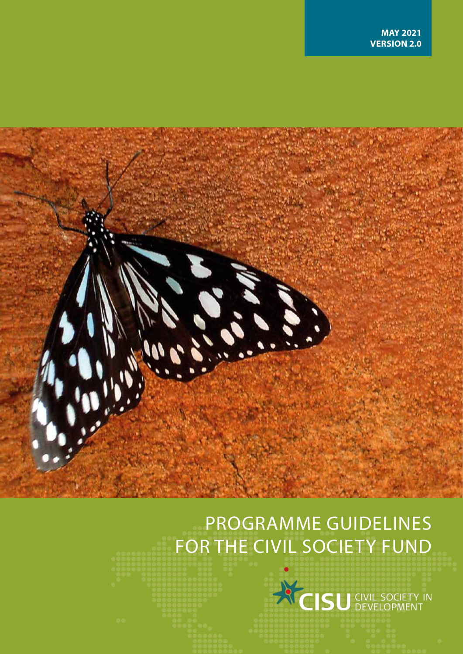

## PROGRAMME GUIDELINES FOR THE CIVIL SOCIETY FUND

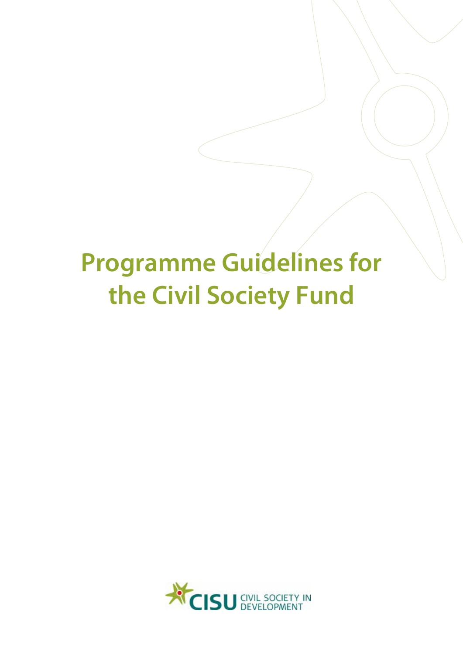# **Programme Guidelines for the Civil Society Fund**

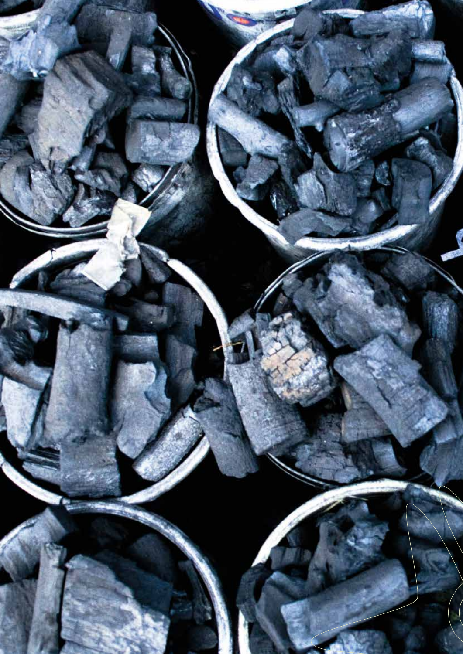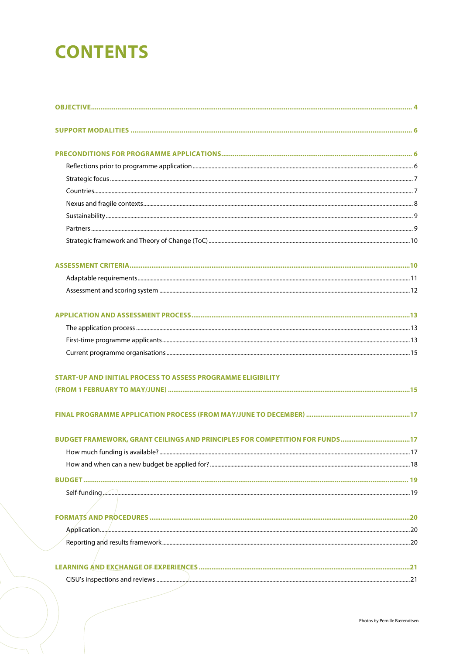## **CONTENTS**

| <b>START-UP AND INITIAL PROCESS TO ASSESS PROGRAMME ELIGIBILITY</b>         |  |
|-----------------------------------------------------------------------------|--|
|                                                                             |  |
|                                                                             |  |
| BUDGET FRAMEWORK, GRANT CEILINGS AND PRINCIPLES FOR COMPETITION FOR FUNDS17 |  |
|                                                                             |  |
|                                                                             |  |
|                                                                             |  |
|                                                                             |  |
|                                                                             |  |
|                                                                             |  |
|                                                                             |  |
|                                                                             |  |
|                                                                             |  |
|                                                                             |  |
|                                                                             |  |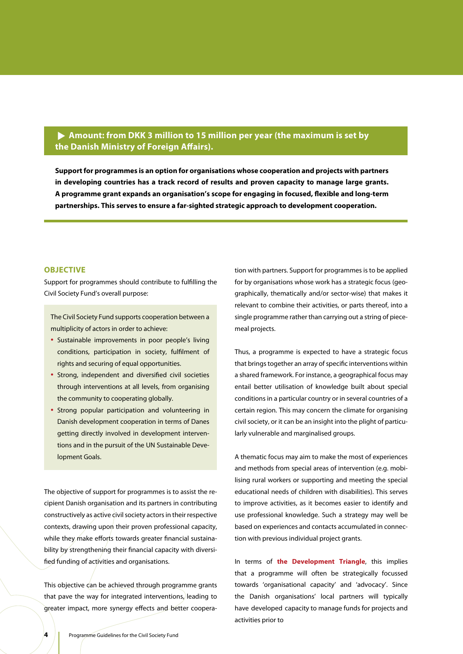## ▶ Amount: from DKK 3 million to 15 million per year (the maximum is set by **the Danish Ministry of Foreign Affairs).**

**Support for programmes is an option for organisations whose cooperation and projects with partners in developing countries has a track record of results and proven capacity to manage large grants. A programme grant expands an organisation's scope for engaging in focused, flexible and long-term partnerships. This serves to ensure a far-sighted strategic approach to development cooperation.**

## **OBJECTIVE**

Support for programmes should contribute to fulfilling the Civil Society Fund's overall purpose:

The Civil Society Fund supports cooperation between a multiplicity of actors in order to achieve:

- Sustainable improvements in poor people's living conditions, participation in society, fulfilment of rights and securing of equal opportunities.
- Strong, independent and diversified civil societies through interventions at all levels, from organising the community to cooperating globally.
- Strong popular participation and volunteering in Danish development cooperation in terms of Danes getting directly involved in development interventions and in the pursuit of the UN Sustainable Development Goals.

The objective of support for programmes is to assist the recipient Danish organisation and its partners in contributing constructively as active civil society actors in their respective contexts, drawing upon their proven professional capacity, while they make efforts towards greater financial sustainability by strengthening their financial capacity with diversified funding of activities and organisations.

This objective can be achieved through programme grants that pave the way for integrated interventions, leading to greater impact, more synergy effects and better cooperation with partners. Support for programmes is to be applied for by organisations whose work has a strategic focus (geographically, thematically and/or sector-wise) that makes it relevant to combine their activities, or parts thereof, into a single programme rather than carrying out a string of piecemeal projects.

Thus, a programme is expected to have a strategic focus that brings together an array of specific interventions within a shared framework. For instance, a geographical focus may entail better utilisation of knowledge built about special conditions in a particular country or in several countries of a certain region. This may concern the climate for organising civil society, or it can be an insight into the plight of particularly vulnerable and marginalised groups.

A thematic focus may aim to make the most of experiences and methods from special areas of intervention (e.g. mobilising rural workers or supporting and meeting the special educational needs of children with disabilities). This serves to improve activities, as it becomes easier to identify and use professional knowledge. Such a strategy may well be based on experiences and contacts accumulated in connection with previous individual project grants.

In terms of **[the Development Triangle](https://www.cisu.dk/temapapirer)**, this implies that a programme will often be strategically focussed towards 'organisational capacity' and 'advocacy'. Since the Danish organisations' local partners will typically have developed capacity to manage funds for projects and activities prior to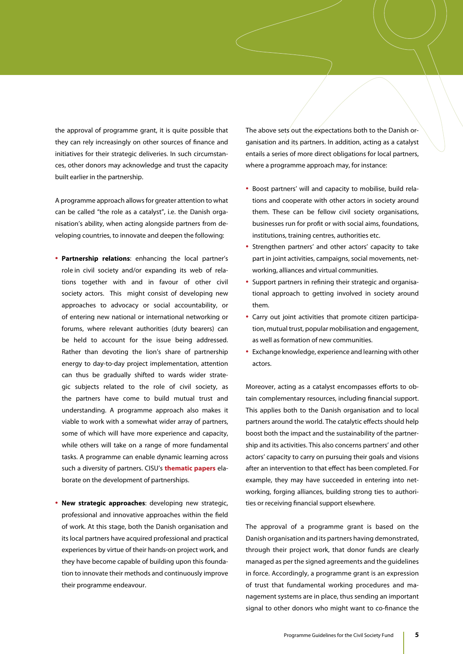the approval of programme grant, it is quite possible that they can rely increasingly on other sources of finance and initiatives for their strategic deliveries. In such circumstances, other donors may acknowledge and trust the capacity built earlier in the partnership.

A programme approach allows for greater attention to what can be called "the role as a catalyst", i.e. the Danish organisation's ability, when acting alongside partners from developing countries, to innovate and deepen the following:

- **Partnership relations**: enhancing the local partner's role in civil society and/or expanding its web of relations together with and in favour of other civil society actors. This might consist of developing new approaches to advocacy or social accountability, or of entering new national or international networking or forums, where relevant authorities (duty bearers) can be held to account for the issue being addressed. Rather than devoting the lion's share of partnership energy to day-to-day project implementation, attention can thus be gradually shifted to wards wider strategic subjects related to the role of civil society, as the partners have come to build mutual trust and understanding. A programme approach also makes it viable to work with a somewhat wider array of partners, some of which will have more experience and capacity, while others will take on a range of more fundamental tasks. A programme can enable dynamic learning across such a diversity of partners. CISU's **[thematic papers](https://www.cisu.dk/temapapirer)** elaborate on the development of partnerships.
- **New strategic approaches**: developing new strategic, professional and innovative approaches within the field of work. At this stage, both the Danish organisation and its local partners have acquired professional and practical experiences by virtue of their hands-on project work, and they have become capable of building upon this foundation to innovate their methods and continuously improve their programme endeavour.

The above sets out the expectations both to the Danish organisation and its partners. In addition, acting as a catalyst entails a series of more direct obligations for local partners, where a programme approach may, for instance:

- Boost partners' will and capacity to mobilise, build relations and cooperate with other actors in society around them. These can be fellow civil society organisations, businesses run for profit or with social aims, foundations, institutions, training centres, authorities etc.
- Strengthen partners' and other actors' capacity to take part in joint activities, campaigns, social movements, networking, alliances and virtual communities.
- Support partners in refining their strategic and organisational approach to getting involved in society around them.
- Carry out joint activities that promote citizen participation, mutual trust, popular mobilisation and engagement, as well as formation of new communities.
- Exchange knowledge, experience and learning with other actors.

Moreover, acting as a catalyst encompasses efforts to obtain complementary resources, including financial support. This applies both to the Danish organisation and to local partners around the world. The catalytic effects should help boost both the impact and the sustainability of the partnership and its activities. This also concerns partners' and other actors' capacity to carry on pursuing their goals and visions after an intervention to that effect has been completed. For example, they may have succeeded in entering into networking, forging alliances, building strong ties to authorities or receiving financial support elsewhere.

The approval of a programme grant is based on the Danish organisation and its partners having demonstrated, through their project work, that donor funds are clearly managed as per the signed agreements and the guidelines in force. Accordingly, a programme grant is an expression of trust that fundamental working procedures and management systems are in place, thus sending an important signal to other donors who might want to co-finance the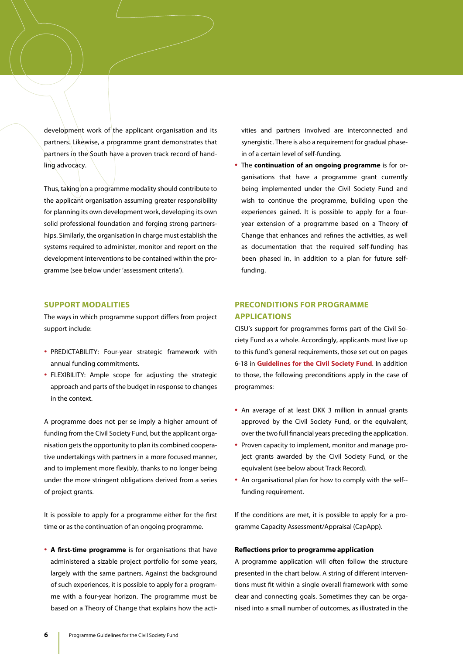development work of the applicant organisation and its partners. Likewise, a programme grant demonstrates that partners in the South have a proven track record of handling advocacy.

Thus, taking on a programme modality should contribute to the applicant organisation assuming greater responsibility for planning its own development work, developing its own solid professional foundation and forging strong partnerships. Similarly, the organisation in charge must establish the systems required to administer, monitor and report on the development interventions to be contained within the programme (see below under 'assessment criteria').

## **SUPPORT MODALITIES**

The ways in which programme support differs from project support include:

- PREDICTABILITY: Four-year strategic framework with annual funding commitments.
- FLEXIBILITY: Ample scope for adjusting the strategic approach and parts of the budget in response to changes in the context.

A programme does not per se imply a higher amount of funding from the Civil Society Fund, but the applicant organisation gets the opportunity to plan its combined cooperative undertakings with partners in a more focused manner, and to implement more flexibly, thanks to no longer being under the more stringent obligations derived from a series of project grants.

It is possible to apply for a programme either for the first time or as the continuation of an ongoing programme.

• **A first-time programme** is for organisations that have administered a sizable project portfolio for some years, largely with the same partners. Against the background of such experiences, it is possible to apply for a programme with a four-year horizon. The programme must be based on a Theory of Change that explains how the activities and partners involved are interconnected and synergistic. There is also a requirement for gradual phasein of a certain level of self-funding.

The **continuation of an ongoing programme** is for organisations that have a programme grant currently being implemented under the Civil Society Fund and wish to continue the programme, building upon the experiences gained. It is possible to apply for a fouryear extension of a programme based on a Theory of Change that enhances and refines the activities, as well as documentation that the required self-funding has been phased in, in addition to a plan for future selffunding.

## **PRECONDITIONS FOR PROGRAMME APPLICATIONS**

CISU's support for programmes forms part of the Civil Society Fund as a whole. Accordingly, applicants must live up to this fund's general requirements, those set out on pages 6-18 in **[Guidelines for the Civil Society Fund](https://www.cisu.dk/puljer/civilsamfundspuljen)**. In addition to those, the following preconditions apply in the case of programmes:

- An average of at least DKK 3 million in annual grants approved by the Civil Society Fund, or the equivalent, over the two full financial years preceding the application.
- Proven capacity to implement, monitor and manage project grants awarded by the Civil Society Fund, or the equivalent (see below about Track Record).
- An organisational plan for how to comply with the self- funding requirement.

If the conditions are met, it is possible to apply for a programme Capacity Assessment/Appraisal (CapApp).

## **Reflections prior to programme application**

A programme application will often follow the structure presented in the chart below. A string of different interventions must fit within a single overall framework with some clear and connecting goals. Sometimes they can be organised into a small number of outcomes, as illustrated in the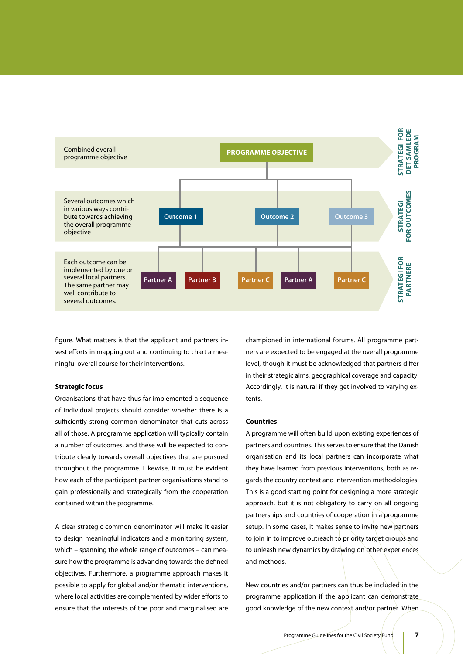

figure. What matters is that the applicant and partners invest efforts in mapping out and continuing to chart a meaningful overall course for their interventions.

## **Strategic focus**

Organisations that have thus far implemented a sequence of individual projects should consider whether there is a sufficiently strong common denominator that cuts across all of those. A programme application will typically contain a number of outcomes, and these will be expected to contribute clearly towards overall objectives that are pursued throughout the programme. Likewise, it must be evident how each of the participant partner organisations stand to gain professionally and strategically from the cooperation contained within the programme.

A clear strategic common denominator will make it easier to design meaningful indicators and a monitoring system, which – spanning the whole range of outcomes – can measure how the programme is advancing towards the defined objectives. Furthermore, a programme approach makes it possible to apply for global and/or thematic interventions, where local activities are complemented by wider efforts to ensure that the interests of the poor and marginalised are

championed in international forums. All programme partners are expected to be engaged at the overall programme level, though it must be acknowledged that partners differ in their strategic aims, geographical coverage and capacity. Accordingly, it is natural if they get involved to varying extents.

## **Countries**

A programme will often build upon existing experiences of partners and countries. This serves to ensure that the Danish organisation and its local partners can incorporate what they have learned from previous interventions, both as regards the country context and intervention methodologies. This is a good starting point for designing a more strategic approach, but it is not obligatory to carry on all ongoing partnerships and countries of cooperation in a programme setup. In some cases, it makes sense to invite new partners to join in to improve outreach to priority target groups and to unleash new dynamics by drawing on other experiences and methods.

New countries and/or partners can thus be included in the programme application if the applicant can demonstrate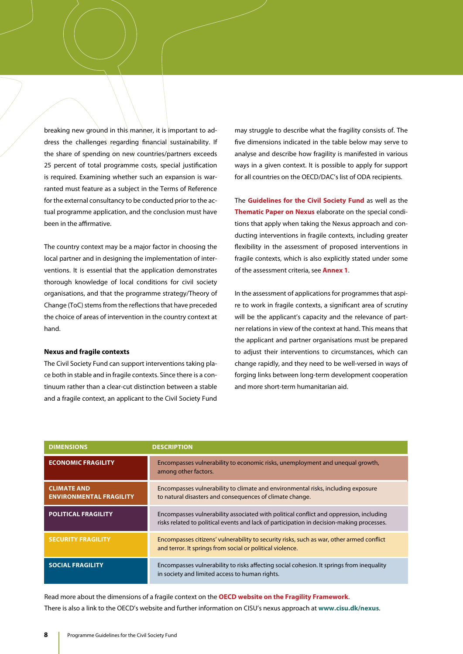breaking new ground in this manner, it is important to address the challenges regarding financial sustainability. If the share of spending on new countries/partners exceeds 25 percent of total programme costs, special justification is required. Examining whether such an expansion is warranted must feature as a subject in the Terms of Reference for the external consultancy to be conducted prior to the actual programme application, and the conclusion must have been in the affirmative.

The country context may be a major factor in choosing the local partner and in designing the implementation of interventions. It is essential that the application demonstrates thorough knowledge of local conditions for civil society organisations, and that the programme strategy/Theory of Change (ToC) stems from the reflections that have preceded the choice of areas of intervention in the country context at hand.

## **Nexus and fragile contexts**

The Civil Society Fund can support interventions taking place both in stable and in fragile contexts. Since there is a continuum rather than a clear-cut distinction between a stable and a fragile context, an applicant to the Civil Society Fund

may struggle to describe what the fragility consists of. The five dimensions indicated in the table below may serve to analyse and describe how fragility is manifested in various ways in a given context. It is possible to apply for support for all countries on the OECD/DAC's list of ODA recipients.

The **[Guidelines for the Civil Society Fund](https://www.cisu.dk/puljer/civilsamfundspuljen)** as well as the **[Thematic Paper on Nexus](www.cisu.dk/nexus)** elaborate on the special conditions that apply when taking the Nexus approach and conducting interventions in fragile contexts, including greater flexibility in the assessment of proposed interventions in fragile contexts, which is also explicitly stated under some of the assessment criteria, see **[Annex 1](https://www.cisu.dk/puljer/hent-formater-vejledninger-og-retningslinjer)**.

In the assessment of applications for programmes that aspire to work in fragile contexts, a significant area of scrutiny will be the applicant's capacity and the relevance of partner relations in view of the context at hand. This means that the applicant and partner organisations must be prepared to adjust their interventions to circumstances, which can change rapidly, and they need to be well-versed in ways of forging links between long-term development cooperation and more short-term humanitarian aid.

| <b>DIMENSIONS</b>                                    | <b>DESCRIPTION</b>                                                                                                                                                                  |
|------------------------------------------------------|-------------------------------------------------------------------------------------------------------------------------------------------------------------------------------------|
| <b>ECONOMIC FRAGILITY</b>                            | Encompasses vulnerability to economic risks, unemployment and unequal growth,<br>among other factors.                                                                               |
| <b>CLIMATE AND</b><br><b>ENVIRONMENTAL FRAGILITY</b> | Encompasses vulnerability to climate and environmental risks, including exposure<br>to natural disasters and consequences of climate change.                                        |
| <b>POLITICAL FRAGILITY</b>                           | Encompasses vulnerability associated with political conflict and oppression, including<br>risks related to political events and lack of participation in decision-making processes. |
| <b>SECURITY FRAGILITY</b>                            | Encompasses citizens' vulnerability to security risks, such as war, other armed conflict<br>and terror. It springs from social or political violence.                               |
| <b>SOCIAL FRAGILITY</b>                              | Encompasses vulnerability to risks affecting social cohesion. It springs from inequality<br>in society and limited access to human rights.                                          |

Read more about the dimensions of a fragile context on the **[OECD website on the Fragility Framework](http://www3.compareyourcountry.org/states-of-fragility/overview/0/)**. There is also a link to the OECD's website and further information on CISU's nexus approach at **www.cisu.dk/nexus**.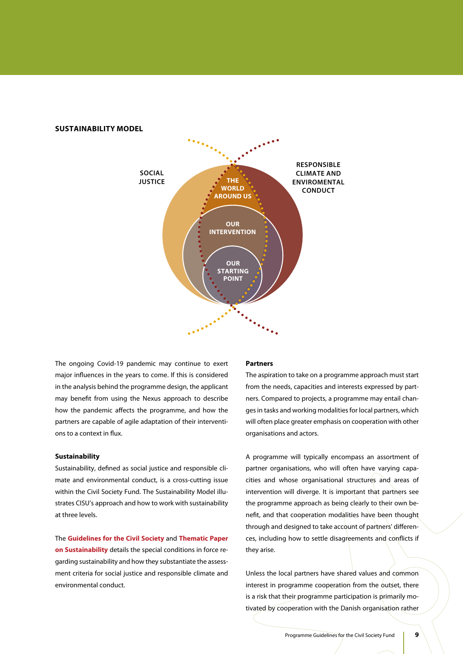

## **SUSTAINABILITY MODEL**

The ongoing Covid-19 pandemic may continue to exert major influences in the years to come. If this is considered in the analysis behind the programme design, the applicant may benefit from using the Nexus approach to describe how the pandemic affects the programme, and how the partners are capable of agile adaptation of their interventions to a context in flux.

#### **Sustainability**

Sustainability, defined as social justice and responsible climate and environmental conduct, is a cross-cutting issue within the Civil Society Fund. The Sustainability Model illustrates CISU's approach and how to work with sustainability at three levels.

The **[Guidelines for the Civil Society](https://www.cisu.dk/puljer/civilsamfundspuljen)** and **Thematic Paper on Sustainability** [details the special conditions in force re](https://www.cisu.dk/temapapirer)garding sustainability and how they substantiate the assessment criteria for social justice and responsible climate and environmental conduct.

#### **Partners**

The aspiration to take on a programme approach must start from the needs, capacities and interests expressed by partners. Compared to projects, a programme may entail changes in tasks and working modalities for local partners, which will often place greater emphasis on cooperation with other organisations and actors.

A programme will typically encompass an assortment of partner organisations, who will often have varying capacities and whose organisational structures and areas of intervention will diverge. It is important that partners see the programme approach as being clearly to their own benefit, and that cooperation modalities have been thought through and designed to take account of partners' differences, including how to settle disagreements and conflicts if they arise.

Unless the local partners have shared values and common interest in programme cooperation from the outset, there is a risk that their programme participation is primarily motivated by cooperation with the Danish organisation rather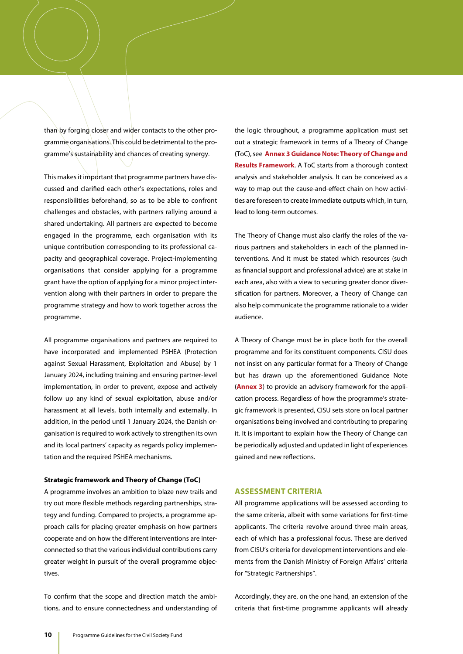than by forging closer and wider contacts to the other programme organisations. This could be detrimental to the programme's sustainability and chances of creating synergy.

This makes it important that programme partners have discussed and clarified each other's expectations, roles and responsibilities beforehand, so as to be able to confront challenges and obstacles, with partners rallying around a shared undertaking. All partners are expected to become engaged in the programme, each organisation with its unique contribution corresponding to its professional capacity and geographical coverage. Project-implementing organisations that consider applying for a programme grant have the option of applying for a minor project intervention along with their partners in order to prepare the programme strategy and how to work together across the programme.

All programme organisations and partners are required to have incorporated and implemented PSHEA (Protection against Sexual Harassment, Exploitation and Abuse) by 1 January 2024, including training and ensuring partner-level implementation, in order to prevent, expose and actively follow up any kind of sexual exploitation, abuse and/or harassment at all levels, both internally and externally. In addition, in the period until 1 January 2024, the Danish organisation is required to work actively to strengthen its own and its local partners' capacity as regards policy implementation and the required PSHEA mechanisms.

## **Strategic framework and Theory of Change (ToC)**

A programme involves an ambition to blaze new trails and try out more flexible methods regarding partnerships, strategy and funding. Compared to projects, a programme approach calls for placing greater emphasis on how partners cooperate and on how the different interventions are interconnected so that the various individual contributions carry greater weight in pursuit of the overall programme objectives.

To confirm that the scope and direction match the ambitions, and to ensure connectedness and understanding of the logic throughout, a programme application must set out a strategic framework in terms of a Theory of Change (ToC), see **[Annex 3 Guidance Note: Theory of Change and](https://www.cisu.dk/puljer/hent-formater-vejledninger-og-retningslinjer) Results Framework**. A ToC starts from a thorough context analysis and stakeholder analysis. It can be conceived as a way to map out the cause-and-effect chain on how activities are foreseen to create immediate outputs which, in turn, lead to long-term outcomes.

The Theory of Change must also clarify the roles of the various partners and stakeholders in each of the planned interventions. And it must be stated which resources (such as financial support and professional advice) are at stake in each area, also with a view to securing greater donor diversification for partners. Moreover, a Theory of Change can also help communicate the programme rationale to a wider audience.

A Theory of Change must be in place both for the overall programme and for its constituent components. CISU does not insist on any particular format for a Theory of Change but has drawn up the aforementioned Guidance Note (**[Annex 3](https://www.cisu.dk/puljer/hent-formater-vejledninger-og-retningslinjer)**) to provide an advisory framework for the application process. Regardless of how the programme's strategic framework is presented, CISU sets store on local partner organisations being involved and contributing to preparing it. It is important to explain how the Theory of Change can be periodically adjusted and updated in light of experiences gained and new reflections.

## **ASSESSMENT CRITERIA**

All programme applications will be assessed according to the same criteria, albeit with some variations for first-time applicants. The criteria revolve around three main areas, each of which has a professional focus. These are derived from CISU's criteria for development interventions and elements from the Danish Ministry of Foreign Affairs' criteria for "Strategic Partnerships".

Accordingly, they are, on the one hand, an extension of the criteria that first-time programme applicants will already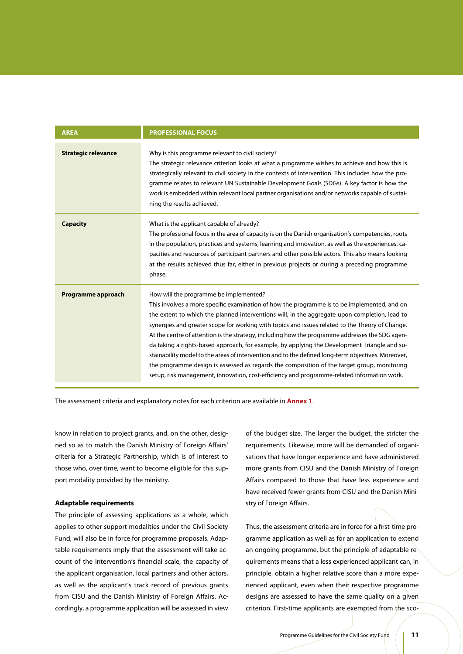| <b>AREA</b>                | <b>PROFESSIONAL FOCUS</b>                                                                                                                                                                                                                                                                                                                                                                                                                                                                                                                                                                                                                                                                                                                                                                                                                        |
|----------------------------|--------------------------------------------------------------------------------------------------------------------------------------------------------------------------------------------------------------------------------------------------------------------------------------------------------------------------------------------------------------------------------------------------------------------------------------------------------------------------------------------------------------------------------------------------------------------------------------------------------------------------------------------------------------------------------------------------------------------------------------------------------------------------------------------------------------------------------------------------|
| <b>Strategic relevance</b> | Why is this programme relevant to civil society?<br>The strategic relevance criterion looks at what a programme wishes to achieve and how this is<br>strategically relevant to civil society in the contexts of intervention. This includes how the pro-<br>gramme relates to relevant UN Sustainable Development Goals (SDGs). A key factor is how the<br>work is embedded within relevant local partner organisations and/or networks capable of sustai-<br>ning the results achieved.                                                                                                                                                                                                                                                                                                                                                         |
| <b>Capacity</b>            | What is the applicant capable of already?<br>The professional focus in the area of capacity is on the Danish organisation's competencies, roots<br>in the population, practices and systems, learning and innovation, as well as the experiences, ca-<br>pacities and resources of participant partners and other possible actors. This also means looking<br>at the results achieved thus far, either in previous projects or during a preceding programme<br>phase.                                                                                                                                                                                                                                                                                                                                                                            |
| Programme approach         | How will the programme be implemented?<br>This involves a more specific examination of how the programme is to be implemented, and on<br>the extent to which the planned interventions will, in the aggregate upon completion, lead to<br>synergies and greater scope for working with topics and issues related to the Theory of Change.<br>At the centre of attention is the strategy, including how the programme addresses the SDG agen-<br>da taking a rights-based approach, for example, by applying the Development Triangle and su-<br>stainability model to the areas of intervention and to the defined long-term objectives. Moreover,<br>the programme design is assessed as regards the composition of the target group, monitoring<br>setup, risk management, innovation, cost-efficiency and programme-related information work. |

The assessment criteria and explanatory notes for each criterion are available in **[Annex 1](https://www.cisu.dk/puljer/hent-formater-vejledninger-og-retningslinjer)**.

know in relation to project grants, and, on the other, designed so as to match the Danish Ministry of Foreign Affairs' criteria for a Strategic Partnership, which is of interest to those who, over time, want to become eligible for this support modality provided by the ministry.

## **Adaptable requirements**

The principle of assessing applications as a whole, which applies to other support modalities under the Civil Society Fund, will also be in force for programme proposals. Adaptable requirements imply that the assessment will take account of the intervention's financial scale, the capacity of the applicant organisation, local partners and other actors, as well as the applicant's track record of previous grants from CISU and the Danish Ministry of Foreign Affairs. Accordingly, a programme application will be assessed in view

of the budget size. The larger the budget, the stricter the requirements. Likewise, more will be demanded of organisations that have longer experience and have administered more grants from CISU and the Danish Ministry of Foreign Affairs compared to those that have less experience and have received fewer grants from CISU and the Danish Ministry of Foreign Affairs.

Thus, the assessment criteria are in force for a first-time programme application as well as for an application to extend an ongoing programme, but the principle of adaptable requirements means that a less experienced applicant can, in principle, obtain a higher relative score than a more experienced applicant, even when their respective programme designs are assessed to have the same quality on a given criterion. First-time applicants are exempted from the sco-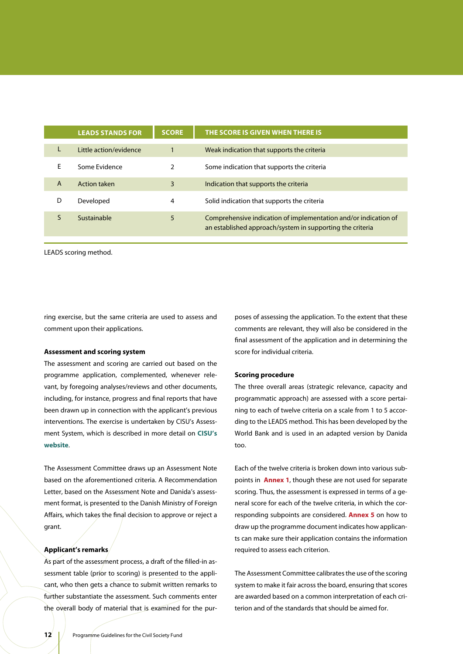|   | <b>LEADS STANDS FOR</b> | <b>SCORE</b> | THE SCORE IS GIVEN WHEN THERE IS                                                                                             |
|---|-------------------------|--------------|------------------------------------------------------------------------------------------------------------------------------|
|   | Little action/evidence  |              | Weak indication that supports the criteria                                                                                   |
| F | Some Evidence           | 2            | Some indication that supports the criteria                                                                                   |
| A | Action taken            | 3            | Indication that supports the criteria                                                                                        |
| D | Developed               | 4            | Solid indication that supports the criteria                                                                                  |
|   | Sustainable             | 5            | Comprehensive indication of implementation and/or indication of<br>an established approach/system in supporting the criteria |

LEADS scoring method.

ring exercise, but the same criteria are used to assess and comment upon their applications.

## **Assessment and scoring system**

The assessment and scoring are carried out based on the programme application, complemented, whenever relevant, by foregoing analyses/reviews and other documents, including, for instance, progress and final reports that have been drawn up in connection with the applicant's previous interventions. The exercise is undertaken by CISU's Assessment System, which is described in more detail on **CISU's website**.

The Assessment Committee draws up an Assessment Note based on the aforementioned criteria. A Recommendation Letter, based on the Assessment Note and Danida's assessment format, is presented to the Danish Ministry of Foreign Affairs, which takes the final decision to approve or reject a grant.

## **Applicant's remarks**

As part of the assessment process, a draft of the filled-in assessment table (prior to scoring) is presented to the applicant, who then gets a chance to submit written remarks to further substantiate the assessment. Such comments enter the overall body of material that is examined for the purposes of assessing the application. To the extent that these comments are relevant, they will also be considered in the final assessment of the application and in determining the score for individual criteria.

### **Scoring procedure**

The three overall areas (strategic relevance, capacity and programmatic approach) are assessed with a score pertaining to each of twelve criteria on a scale from 1 to 5 according to the LEADS method. This has been developed by the World Bank and is used in an adapted version by Danida too.

Each of the twelve criteria is broken down into various subpoints in **[Annex 1](https://www.cisu.dk/puljer/hent-formater-vejledninger-og-retningslinjer)**, though these are not used for separate scoring. Thus, the assessment is expressed in terms of a general score for each of the twelve criteria, in which the corresponding subpoints are considered. **[Annex 5](https://www.cisu.dk/puljer/hent-formater-vejledninger-og-retningslinjer)** on how to draw up the programme document indicates how applicants can make sure their application contains the information required to assess each criterion.

The Assessment Committee calibrates the use of the scoring system to make it fair across the board, ensuring that scores are awarded based on a common interpretation of each criterion and of the standards that should be aimed for.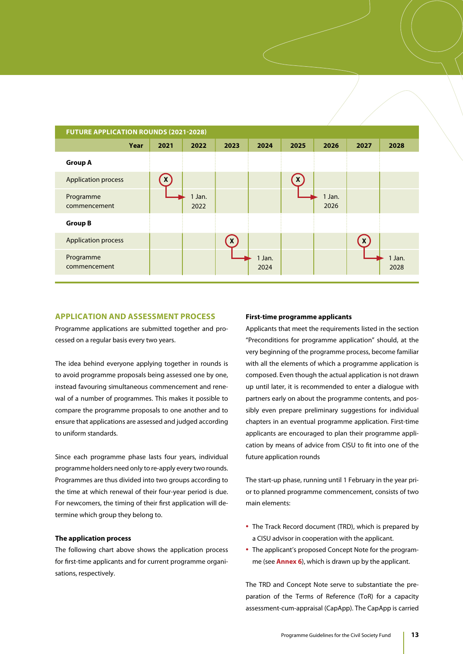

## **APPLICATION AND ASSESSMENT PROCESS**

Programme applications are submitted together and processed on a regular basis every two years.

The idea behind everyone applying together in rounds is to avoid programme proposals being assessed one by one, instead favouring simultaneous commencement and renewal of a number of programmes. This makes it possible to compare the programme proposals to one another and to ensure that applications are assessed and judged according to uniform standards.

Since each programme phase lasts four years, individual programme holders need only to re-apply every two rounds. Programmes are thus divided into two groups according to the time at which renewal of their four-year period is due. For newcomers, the timing of their first application will determine which group they belong to.

## **The application process**

The following chart above shows the application process for first-time applicants and for current programme organisations, respectively.

#### **First-time programme applicants**

Applicants that meet the requirements listed in the section "Preconditions for programme application" should, at the very beginning of the programme process, become familiar with all the elements of which a programme application is composed. Even though the actual application is not drawn up until later, it is recommended to enter a dialogue with partners early on about the programme contents, and possibly even prepare preliminary suggestions for individual chapters in an eventual programme application. First-time applicants are encouraged to plan their programme application by means of advice from CISU to fit into one of the future application rounds

The start-up phase, running until 1 February in the year prior to planned programme commencement, consists of two main elements:

- The Track Record document (TRD), which is prepared by a CISU advisor in cooperation with the applicant.
- The applicant's proposed Concept Note for the programme (see **[Annex 6](https://www.cisu.dk/puljer/hent-formater-vejledninger-og-retningslinjer)**), which is drawn up by the applicant.

The TRD and Concept Note serve to substantiate the preparation of the Terms of Reference (ToR) for a capacity assessment-cum-appraisal (CapApp). The CapApp is carried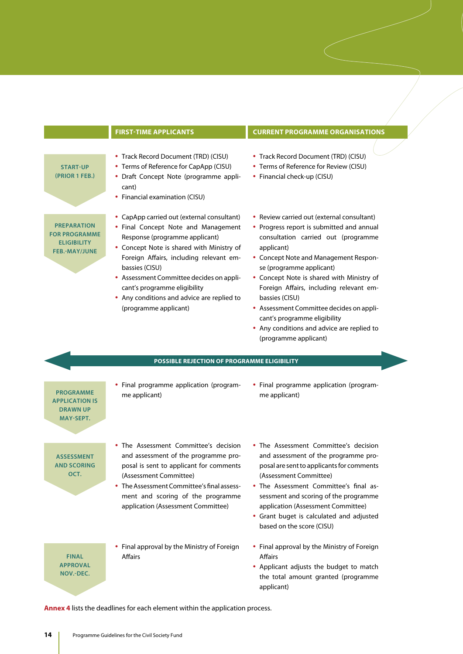#### **FIRST-TIME APPLICANTS CURRENT PROGRAMME ORGANISATIONS** • Track Record Document (TRD) (CISU) • Terms of Reference for CapApp (CISU) • Draft Concept Note (programme applicant) • Financial examination (CISU) • CapApp carried out (external consultant) • Final Concept Note and Management Response (programme applicant) • Concept Note is shared with Ministry of Foreign Affairs, including relevant embassies (CISU) • Assessment Committee decides on applicant's programme eligibility • Any conditions and advice are replied to (programme applicant) • Final programme application (programme applicant) • The Assessment Committee's decision and assessment of the programme proposal is sent to applicant for comments (Assessment Committee) • The Assessment Committee's final assessment and scoring of the programme application (Assessment Committee) • Final approval by the Ministry of Foreign Affairs **START-UP (PRIOR 1 FEB.) PREPARATION FOR PROGRAMME ELIGIBILITY FEB.-MAY/JUNE** • Track Record Document (TRD) (CISU) • Terms of Reference for Review (CISU) • Financial check-up (CISU) • Review carried out (external consultant) • Progress report is submitted and annual consultation carried out (programme applicant) • Concept Note and Management Response (programme applicant) • Concept Note is shared with Ministry of Foreign Affairs, including relevant embassies (CISU) • Assessment Committee decides on applicant's programme eligibility • Any conditions and advice are replied to (programme applicant) • Final programme application (programme applicant) • The Assessment Committee's decision and assessment of the programme proposal are sent to applicants for comments (Assessment Committee) • The Assessment Committee's final assessment and scoring of the programme application (Assessment Committee) • Grant buget is calculated and adjusted based on the score (CISU) • Final approval by the Ministry of Foreign Affairs **ASSESSMENT AND SCORING OCT. PROGRAMME APPLICATION IS DRAWN UP MAY-SEPT. POSSIBLE REJECTION OF PROGRAMME ELIGIBILITY FINAL APPROVAL**

• Applicant adjusts the budget to match the total amount granted (programme applicant)

**[Annex 4](https://www.cisu.dk/puljer/hent-formater-vejledninger-og-retningslinjer)** lists the deadlines for each element within the application process.

**NOV.-DEC.**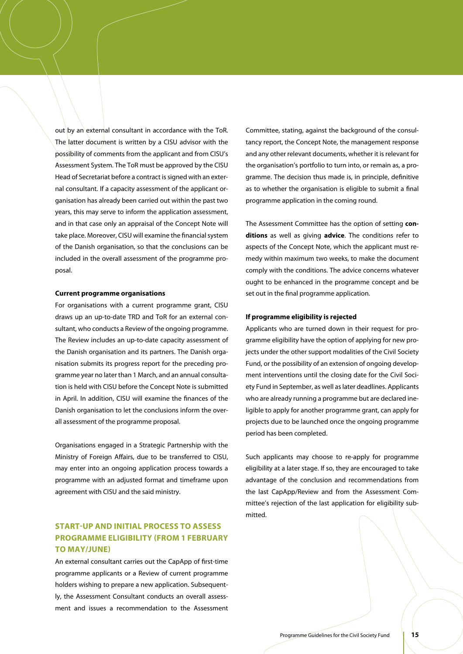out by an external consultant in accordance with the ToR. The latter document is written by a CISU advisor with the possibility of comments from the applicant and from CISU's Assessment System. The ToR must be approved by the CISU Head of Secretariat before a contract is signed with an external consultant. If a capacity assessment of the applicant organisation has already been carried out within the past two years, this may serve to inform the application assessment, and in that case only an appraisal of the Concept Note will take place. Moreover, CISU will examine the financial system of the Danish organisation, so that the conclusions can be included in the overall assessment of the programme proposal.

#### **Current programme organisations**

For organisations with a current programme grant, CISU draws up an up-to-date TRD and ToR for an external consultant, who conducts a Review of the ongoing programme. The Review includes an up-to-date capacity assessment of the Danish organisation and its partners. The Danish organisation submits its progress report for the preceding programme year no later than 1 March, and an annual consultation is held with CISU before the Concept Note is submitted in April. In addition, CISU will examine the finances of the Danish organisation to let the conclusions inform the overall assessment of the programme proposal.

Organisations engaged in a Strategic Partnership with the Ministry of Foreign Affairs, due to be transferred to CISU, may enter into an ongoing application process towards a programme with an adjusted format and timeframe upon agreement with CISU and the said ministry.

## **START-UP AND INITIAL PROCESS TO ASSESS PROGRAMME ELIGIBILITY (FROM 1 FEBRUARY TO MAY/JUNE)**

An external consultant carries out the CapApp of first-time programme applicants or a Review of current programme holders wishing to prepare a new application. Subsequently, the Assessment Consultant conducts an overall assessment and issues a recommendation to the Assessment Committee, stating, against the background of the consultancy report, the Concept Note, the management response and any other relevant documents, whether it is relevant for the organisation's portfolio to turn into, or remain as, a programme. The decision thus made is, in principle, definitive as to whether the organisation is eligible to submit a final programme application in the coming round.

The Assessment Committee has the option of setting **conditions** as well as giving **advice**. The conditions refer to aspects of the Concept Note, which the applicant must remedy within maximum two weeks, to make the document comply with the conditions. The advice concerns whatever ought to be enhanced in the programme concept and be set out in the final programme application.

#### **If programme eligibility is rejected**

Applicants who are turned down in their request for programme eligibility have the option of applying for new projects under the other support modalities of the Civil Society Fund, or the possibility of an extension of ongoing development interventions until the closing date for the Civil Society Fund in September, as well as later deadlines. Applicants who are already running a programme but are declared ineligible to apply for another programme grant, can apply for projects due to be launched once the ongoing programme period has been completed.

Such applicants may choose to re-apply for programme eligibility at a later stage. If so, they are encouraged to take advantage of the conclusion and recommendations from the last CapApp/Review and from the Assessment Committee's rejection of the last application for eligibility submitted.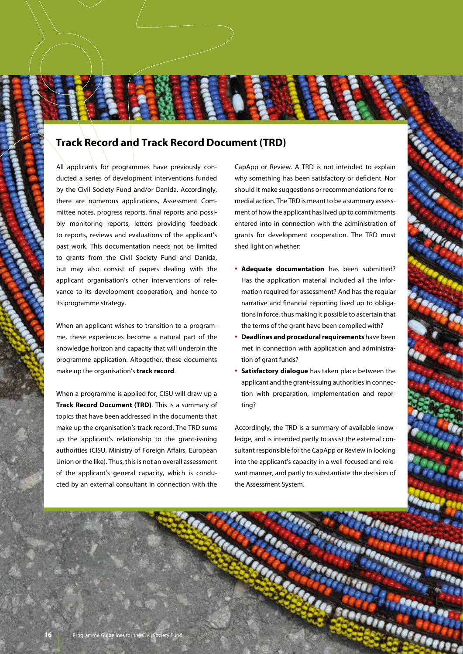## **Track Record and Track Record Document (TRD)**

All applicants for programmes have previously conducted a series of development interventions funded by the Civil Society Fund and/or Danida. Accordingly, there are numerous applications, Assessment Committee notes, progress reports, final reports and possibly monitoring reports, letters providing feedback to reports, reviews and evaluations of the applicant's past work. This documentation needs not be limited to grants from the Civil Society Fund and Danida, but may also consist of papers dealing with the applicant organisation's other interventions of relevance to its development cooperation, and hence to its programme strategy.

When an applicant wishes to transition to a programme, these experiences become a natural part of the knowledge horizon and capacity that will underpin the programme application. Altogether, these documents make up the organisation's **track record**.

When a programme is applied for, CISU will draw up a **Track Record Document (TRD)**. This is a summary of topics that have been addressed in the documents that make up the organisation's track record. The TRD sums up the applicant's relationship to the grant-issuing authorities (CISU, Ministry of Foreign Affairs, European Union or the like). Thus, this is not an overall assessment of the applicant's general capacity, which is conducted by an external consultant in connection with the

CapApp or Review. A TRD is not intended to explain why something has been satisfactory or deficient. Nor should it make suggestions or recommendations for remedial action. The TRD is meant to be a summary assessment of how the applicant has lived up to commitments entered into in connection with the administration of grants for development cooperation. The TRD must shed light on whether:

- **Adequate documentation** has been submitted? Has the application material included all the information required for assessment? And has the regular narrative and financial reporting lived up to obligations in force, thus making it possible to ascertain that the terms of the grant have been complied with?
- **Deadlines and procedural requirements** have been met in connection with application and administration of grant funds?
- **Satisfactory dialogue** has taken place between the applicant and the grant-issuing authorities in connection with preparation, implementation and reporting?

Accordingly, the TRD is a summary of available knowledge, and is intended partly to assist the external consultant responsible for the CapApp or Review in looking into the applicant's capacity in a well-focused and relevant manner, and partly to substantiate the decision of the Assessment System.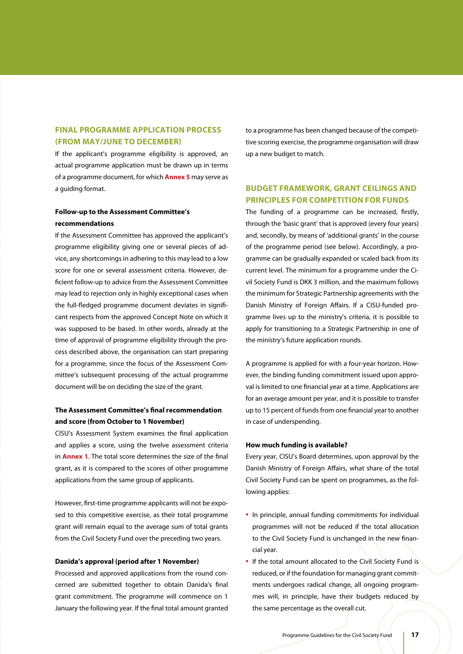## **FINAL PROGRAMME APPLICATION PROCESS (FROM MAY/JUNE TO DECEMBER)**

If the applicant's programme eligibility is approved, an actual programme application must be drawn up in terms of a programme document, for which **[Annex 5](https://www.cisu.dk/puljer/hent-formater-vejledninger-og-retningslinjer)** may serve as a guiding format.

## **Follow-up to the Assessment Committee's recommendations**

If the Assessment Committee has approved the applicant's programme eligibility giving one or several pieces of advice, any shortcomings in adhering to this may lead to a low score for one or several assessment criteria. However, deficient follow-up to advice from the Assessment Committee may lead to rejection only in highly exceptional cases when the full-fledged programme document deviates in significant respects from the approved Concept Note on which it was supposed to be based. In other words, already at the time of approval of programme eligibility through the process described above, the organisation can start preparing for a programme, since the focus of the Assessment Committee's subsequent processing of the actual programme document will be on deciding the size of the grant.

## **The Assessment Committee's final recommendation and score (from October to 1 November)**

CISU's Assessment System examines the final application and applies a score, using the twelve assessment criteria in **[Annex 1](https://www.cisu.dk/program)**. The total score determines the size of the final grant, as it is compared to the scores of other programme applications from the same group of applicants.

However, first-time programme applicants will not be exposed to this competitive exercise, as their total programme grant will remain equal to the average sum of total grants from the Civil Society Fund over the preceding two years.

## **Danida's approval (period after 1 November)**

Processed and approved applications from the round concerned are submitted together to obtain Danida's final grant commitment. The programme will commence on 1 January the following year. If the final total amount granted

to a programme has been changed because of the competitive scoring exercise, the programme organisation will draw up a new budget to match.

## **BUDGET FRAMEWORK, GRANT CEILINGS AND PRINCIPLES FOR COMPETITION FOR FUNDS**

The funding of a programme can be increased, firstly, through the 'basic grant' that is approved (every four years) and, secondly, by means of 'additional grants' in the course of the programme period (see below). Accordingly, a programme can be gradually expanded or scaled back from its current level. The minimum for a programme under the Civil Society Fund is DKK 3 million, and the maximum follows the minimum for Strategic Partnership agreements with the Danish Ministry of Foreign Affairs. If a CISU-funded programme lives up to the ministry's criteria, it is possible to apply for transitioning to a Strategic Partnership in one of the ministry's future application rounds.

A programme is applied for with a four-year horizon. However, the binding funding commitment issued upon approval is limited to one financial year at a time. Applications are for an average amount per year, and it is possible to transfer up to 15 percent of funds from one financial year to another in case of underspending.

## **How much funding is available?**

Every year, CISU's Board determines, upon approval by the Danish Ministry of Foreign Affairs, what share of the total Civil Society Fund can be spent on programmes, as the following applies:

- In principle, annual funding commitments for individual programmes will not be reduced if the total allocation to the Civil Society Fund is unchanged in the new financial year.
- If the total amount allocated to the Civil Society Fund is reduced, or if the foundation for managing grant commitments undergoes radical change, all ongoing programmes will, in principle, have their budgets reduced by the same percentage as the overall cut.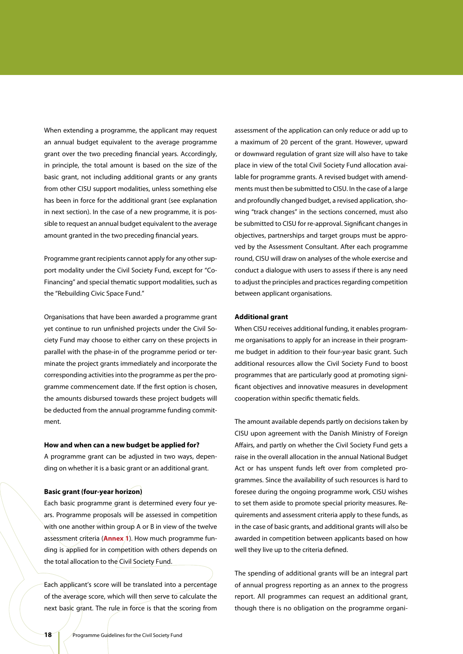When extending a programme, the applicant may request an annual budget equivalent to the average programme grant over the two preceding financial years. Accordingly, in principle, the total amount is based on the size of the basic grant, not including additional grants or any grants from other CISU support modalities, unless something else has been in force for the additional grant (see explanation in next section). In the case of a new programme, it is possible to request an annual budget equivalent to the average amount granted in the two preceding financial years.

Programme grant recipients cannot apply for any other support modality under the Civil Society Fund, except for "Co-Financing" and special thematic support modalities, such as the "Rebuilding Civic Space Fund."

Organisations that have been awarded a programme grant yet continue to run unfinished projects under the Civil Society Fund may choose to either carry on these projects in parallel with the phase-in of the programme period or terminate the project grants immediately and incorporate the corresponding activities into the programme as per the programme commencement date. If the first option is chosen, the amounts disbursed towards these project budgets will be deducted from the annual programme funding commitment.

#### **How and when can a new budget be applied for?**

A programme grant can be adjusted in two ways, depending on whether it is a basic grant or an additional grant.

## **Basic grant (four-year horizon)**

Each basic programme grant is determined every four years. Programme proposals will be assessed in competition with one another within group A or B in view of the twelve assessment criteria (**[Annex 1](https://www.cisu.dk/program)**). How much programme funding is applied for in competition with others depends on the total allocation to the Civil Society Fund.

Each applicant's score will be translated into a percentage of the average score, which will then serve to calculate the next basic grant. The rule in force is that the scoring from

assessment of the application can only reduce or add up to a maximum of 20 percent of the grant. However, upward or downward regulation of grant size will also have to take place in view of the total Civil Society Fund allocation available for programme grants. A revised budget with amendments must then be submitted to CISU. In the case of a large and profoundly changed budget, a revised application, showing "track changes" in the sections concerned, must also be submitted to CISU for re-approval. Significant changes in objectives, partnerships and target groups must be approved by the Assessment Consultant. After each programme round, CISU will draw on analyses of the whole exercise and conduct a dialogue with users to assess if there is any need to adjust the principles and practices regarding competition between applicant organisations.

#### **Additional grant**

When CISU receives additional funding, it enables programme organisations to apply for an increase in their programme budget in addition to their four-year basic grant. Such additional resources allow the Civil Society Fund to boost programmes that are particularly good at promoting significant objectives and innovative measures in development cooperation within specific thematic fields.

The amount available depends partly on decisions taken by CISU upon agreement with the Danish Ministry of Foreign Affairs, and partly on whether the Civil Society Fund gets a raise in the overall allocation in the annual National Budget Act or has unspent funds left over from completed programmes. Since the availability of such resources is hard to foresee during the ongoing programme work, CISU wishes to set them aside to promote special priority measures. Requirements and assessment criteria apply to these funds, as in the case of basic grants, and additional grants will also be awarded in competition between applicants based on how well they live up to the criteria defined.

The spending of additional grants will be an integral part of annual progress reporting as an annex to the progress report. All programmes can request an additional grant, though there is no obligation on the programme organi-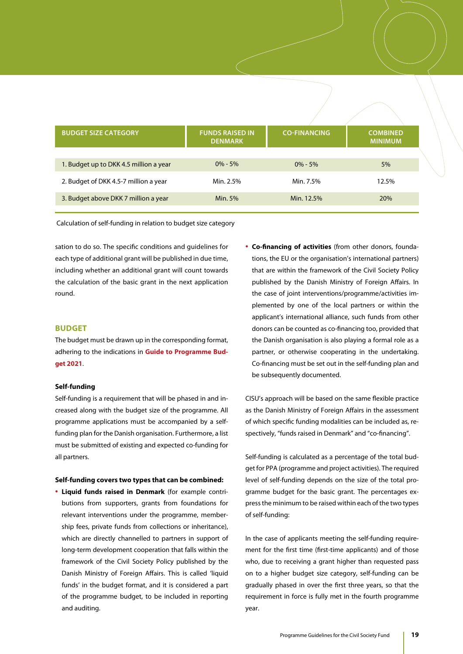| <b>BUDGET SIZE CATEGORY</b>            | <b>FUNDS RAISED IN</b><br><b>DENMARK</b> | <b>CO-FINANCING</b> | <b>COMBINED</b><br><b>MINIMUM</b> |  |
|----------------------------------------|------------------------------------------|---------------------|-----------------------------------|--|
|                                        |                                          |                     |                                   |  |
| 1. Budget up to DKK 4.5 million a year | $0\% - 5\%$                              | $0\% - 5\%$         | 5%                                |  |
| 2. Budget of DKK 4.5-7 million a year  | Min. 2.5%                                | Min. 7.5%           | 12.5%                             |  |
| 3. Budget above DKK 7 million a year   | Min. 5%                                  | Min. 12.5%          | 20%                               |  |
|                                        |                                          |                     |                                   |  |

Calculation of self-funding in relation to budget size category

sation to do so. The specific conditions and guidelines for each type of additional grant will be published in due time, including whether an additional grant will count towards the calculation of the basic grant in the next application round.

## **BUDGET**

The budget must be drawn up in the corresponding format, [adhering to the indications in](https://www.cisu.dk/puljer/hent-formater-vejledninger-og-retningslinjer) **Guide to Programme Budget 2021**.

## **Self-funding**

Self-funding is a requirement that will be phased in and increased along with the budget size of the programme. All programme applications must be accompanied by a selffunding plan for the Danish organisation. Furthermore, a list must be submitted of existing and expected co-funding for all partners.

## **Self-funding covers two types that can be combined:**

• **Liquid funds raised in Denmark** (for example contributions from supporters, grants from foundations for relevant interventions under the programme, membership fees, private funds from collections or inheritance), which are directly channelled to partners in support of long-term development cooperation that falls within the framework of the Civil Society Policy published by the Danish Ministry of Foreign Affairs. This is called 'liquid funds' in the budget format, and it is considered a part of the programme budget, to be included in reporting and auditing.

• **Co-financing of activities** (from other donors, foundations, the EU or the organisation's international partners) that are within the framework of the Civil Society Policy published by the Danish Ministry of Foreign Affairs. In the case of joint interventions/programme/activities implemented by one of the local partners or within the applicant's international alliance, such funds from other donors can be counted as co-financing too, provided that the Danish organisation is also playing a formal role as a partner, or otherwise cooperating in the undertaking. Co-financing must be set out in the self-funding plan and be subsequently documented.

CISU's approach will be based on the same flexible practice as the Danish Ministry of Foreign Affairs in the assessment of which specific funding modalities can be included as, respectively, "funds raised in Denmark" and "co-financing".

Self-funding is calculated as a percentage of the total budget for PPA (programme and project activities). The required level of self-funding depends on the size of the total programme budget for the basic grant. The percentages express the minimum to be raised within each of the two types of self-funding:

In the case of applicants meeting the self-funding requirement for the first time (first-time applicants) and of those who, due to receiving a grant higher than requested pass on to a higher budget size category, self-funding can be gradually phased in over the first three years, so that the requirement in force is fully met in the fourth programme year.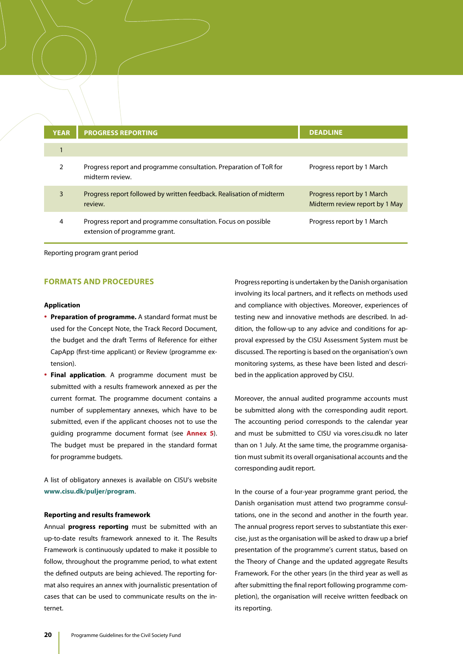| <b>YEAR</b>   | <b>PROGRESS REPORTING</b>                                                                      | <b>DEADLINE</b>                                              |
|---------------|------------------------------------------------------------------------------------------------|--------------------------------------------------------------|
|               |                                                                                                |                                                              |
| $\mathcal{P}$ | Progress report and programme consultation. Preparation of ToR for<br>midterm review.          | Progress report by 1 March                                   |
| 3             | Progress report followed by written feedback. Realisation of midterm<br>review.                | Progress report by 1 March<br>Midterm review report by 1 May |
| 4             | Progress report and programme consultation. Focus on possible<br>extension of programme grant. | Progress report by 1 March                                   |

Reporting program grant period

## **FORMATS AND PROCEDURES**

#### **Application**

- **Preparation of programme.** A standard format must be used for the Concept Note, the Track Record Document, the budget and the draft Terms of Reference for either CapApp (first-time applicant) or Review (programme extension).
- **Final application**. A programme document must be submitted with a results framework annexed as per the current format. The programme document contains a number of supplementary annexes, which have to be submitted, even if the applicant chooses not to use the guiding programme document format (see **[Annex 5](https://www.cisu.dk/puljer/hent-formater-vejledninger-og-retningslinjer)**). The budget must be prepared in the standard format for programme budgets.

A list of obligatory annexes is available on CISU's website **[www.cisu.dk/](https://www.cisu.dk/puljer/program)puljer/program**.

#### **Reporting and results framework**

Annual **progress reporting** must be submitted with an up-to-date results framework annexed to it. The Results Framework is continuously updated to make it possible to follow, throughout the programme period, to what extent the defined outputs are being achieved. The reporting format also requires an annex with journalistic presentation of cases that can be used to communicate results on the internet.

Progress reporting is undertaken by the Danish organisation involving its local partners, and it reflects on methods used and compliance with objectives. Moreover, experiences of testing new and innovative methods are described. In addition, the follow-up to any advice and conditions for approval expressed by the CISU Assessment System must be discussed. The reporting is based on the organisation's own monitoring systems, as these have been listed and described in the application approved by CISU.

Moreover, the annual audited programme accounts must be submitted along with the corresponding audit report. The accounting period corresponds to the calendar year and must be submitted to CISU via vores.cisu.dk no later than on 1 July. At the same time, the programme organisation must submit its overall organisational accounts and the corresponding audit report.

In the course of a four-year programme grant period, the Danish organisation must attend two programme consultations, one in the second and another in the fourth year. The annual progress report serves to substantiate this exercise, just as the organisation will be asked to draw up a brief presentation of the programme's current status, based on the Theory of Change and the updated aggregate Results Framework. For the other years (in the third year as well as after submitting the final report following programme completion), the organisation will receive written feedback on its reporting.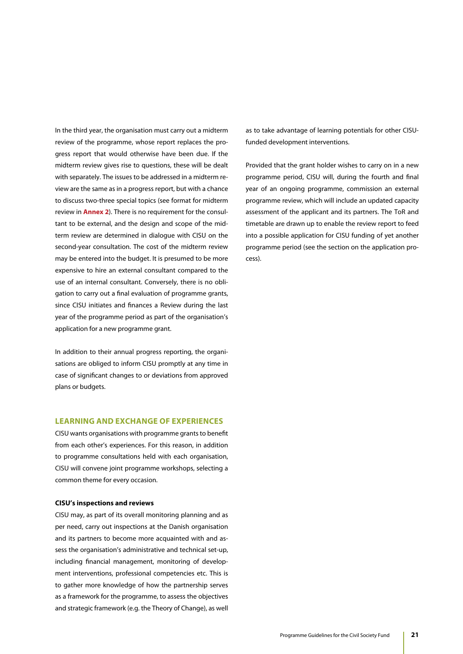In the third year, the organisation must carry out a midterm review of the programme, whose report replaces the progress report that would otherwise have been due. If the midterm review gives rise to questions, these will be dealt with separately. The issues to be addressed in a midterm review are the same as in a progress report, but with a chance to discuss two-three special topics (see format for midterm review in **[Annex 2](https://www.cisu.dk/program)**). There is no requirement for the consultant to be external, and the design and scope of the midterm review are determined in dialogue with CISU on the second-year consultation. The cost of the midterm review may be entered into the budget. It is presumed to be more expensive to hire an external consultant compared to the use of an internal consultant. Conversely, there is no obligation to carry out a final evaluation of programme grants, since CISU initiates and finances a Review during the last year of the programme period as part of the organisation's application for a new programme grant.

In addition to their annual progress reporting, the organisations are obliged to inform CISU promptly at any time in case of significant changes to or deviations from approved plans or budgets.

## **LEARNING AND EXCHANGE OF EXPERIENCES**

CISU wants organisations with programme grants to benefit from each other's experiences. For this reason, in addition to programme consultations held with each organisation, CISU will convene joint programme workshops, selecting a common theme for every occasion.

## **CISU's inspections and reviews**

CISU may, as part of its overall monitoring planning and as per need, carry out inspections at the Danish organisation and its partners to become more acquainted with and assess the organisation's administrative and technical set-up, including financial management, monitoring of development interventions, professional competencies etc. This is to gather more knowledge of how the partnership serves as a framework for the programme, to assess the objectives and strategic framework (e.g. the Theory of Change), as well as to take advantage of learning potentials for other CISUfunded development interventions.

Provided that the grant holder wishes to carry on in a new programme period, CISU will, during the fourth and final year of an ongoing programme, commission an external programme review, which will include an updated capacity assessment of the applicant and its partners. The ToR and timetable are drawn up to enable the review report to feed into a possible application for CISU funding of yet another programme period (see the section on the application process).